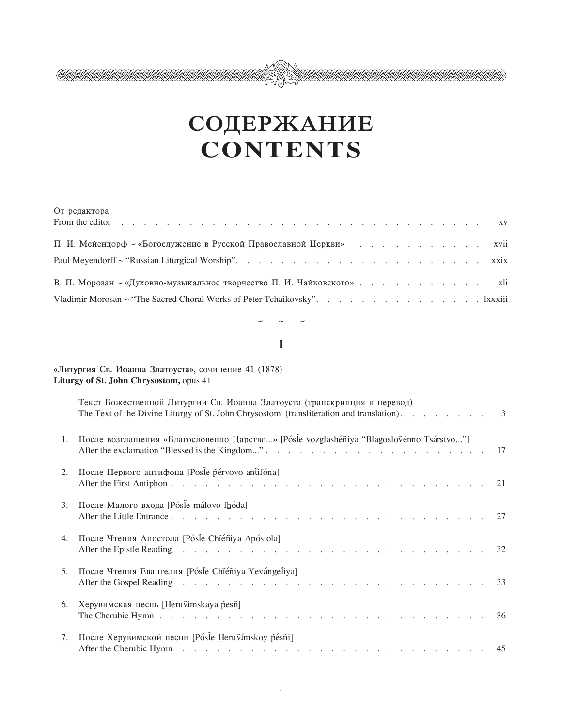# СОДЕРЖАНИЕ **CONTENTS**

IIIIA MA

| От редактора                                                               |  |  |  |  |  |  |
|----------------------------------------------------------------------------|--|--|--|--|--|--|
| П. И. Мейендорф ~ «Богослужение в Русской Православной Церкви» xvii        |  |  |  |  |  |  |
|                                                                            |  |  |  |  |  |  |
|                                                                            |  |  |  |  |  |  |
| Vladimir Morosan ~ "The Sacred Choral Works of Peter Tchaikovsky". Ixxxiii |  |  |  |  |  |  |

## $\mathbf I$

### «Литургия Св. Иоанна Златоуста», сочинение 41 (1878) Liturgy of St. John Chrysostom, opus 41

<u>SAASAASAASAASAASAASAASAA</u>

|    | Текст Божественной Литургии Св. Иоанна Златоуста (транскрипция и перевод)<br>The Text of the Divine Liturgy of St. John Chrysostom (transliteration and translation). 3             |  |
|----|-------------------------------------------------------------------------------------------------------------------------------------------------------------------------------------|--|
| 1. | После возглашения «Благословенно Царство» [Pósle vozglashéñiya "Blagoslovénno Tsárstvo"]                                                                                            |  |
| 2. | После Первого антифона [Posle pérvovo antifóna]                                                                                                                                     |  |
| 3. | После Малого входа [Pósle málovo fhóda]                                                                                                                                             |  |
| 4. | После Чтения Апостола [Pósl̃e Cht̃éñiya Apóstola]                                                                                                                                   |  |
| 5. | После Чтения Евангелия [Pósle Chténiya Yevángeliya]                                                                                                                                 |  |
| 6. | Херувимская песнь [Heruṽímskaya p̃esñ]<br>The Cherubic Hymn $\ldots$ $\ldots$ $\ldots$ $\ldots$ $\ldots$ $\ldots$ $\ldots$ $\ldots$ $\ldots$ $\ldots$ $\ldots$ $\ldots$ $\ldots$ 36 |  |
| 7. | После Херувимской песни [Pósle Heruvímskov pésni]                                                                                                                                   |  |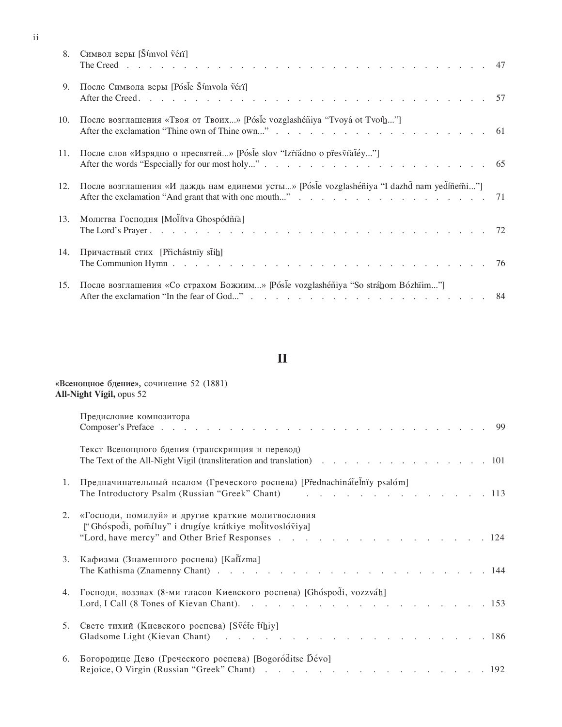| 8.  | Символ веры [ $\text{Simvol}$ véri]                                                                                                                                               |  |
|-----|-----------------------------------------------------------------------------------------------------------------------------------------------------------------------------------|--|
| 9.  | После Символа веры [Pósle Šímvola véri]                                                                                                                                           |  |
| 10. | После возглашения «Твоя от Твоих» [Pósle vozglashéñiya "Tvoyá ot Tvoíh"]                                                                                                          |  |
| 11. | После слов «Изрядно о пресвятей» [Pósle slov "Izr̃iadno o pr̃esṽiat̃éy"]                                                                                                          |  |
| 12. | После возглашения «И даждь нам единеми усты» [Pósle vozglashéñiya "I dazhd nam yedíñemi"]                                                                                         |  |
| 13. | Молитва Господня [Molítva Ghospódñía]                                                                                                                                             |  |
| 14. | Причастный стих [Prichástniy st̃ih]<br>The Communion Hymn $\ldots$ $\ldots$ $\ldots$ $\ldots$ $\ldots$ $\ldots$ $\ldots$ $\ldots$ $\ldots$ $\ldots$ $\ldots$ $\ldots$ $\ldots$ 76 |  |
| 15. | После возглашения «Со страхом Божиим» [Pósle vozglashéñiya "So stráhom Bózhïim"]                                                                                                  |  |

 $\rm ii$ 

# $\mathbf{I}$

«Всенощное бдение», сочинение 52 (1881)

All-Night Vigil, opus 52

|    | Предисловие композитора                                                                                                                                          |
|----|------------------------------------------------------------------------------------------------------------------------------------------------------------------|
|    | Текст Всенощного бдения (транскрипция и перевод)<br>The Text of the All-Night Vigil (transliteration and translation) 101                                        |
| 1. | Предначинательный псалом (Греческого роспева) [Přednachinát̃elnïy psalóm]<br>The Introductory Psalm (Russian "Greek" Chant) 113                                  |
| 2. | «Господи, помилуй» и другие краткие молитвословия<br>["Ghóspodi, pomíluy" i drugíye krátkiye molitvoslóviya]<br>"Lord, have mercy" and Other Brief Responses 124 |
| 3. | Кафизма (Знаменного роспева) [Kafízma]                                                                                                                           |
| 4. | Господи, воззвах (8-ми гласов Киевского роспева) [Ghóspodi, vozzváh]                                                                                             |
| 5. | Свете тихий (Киевского роспева) [Svéte tíhiy]                                                                                                                    |
| 6. | Богородице Дево (Греческого роспева) [Bogoróditse Dévo]                                                                                                          |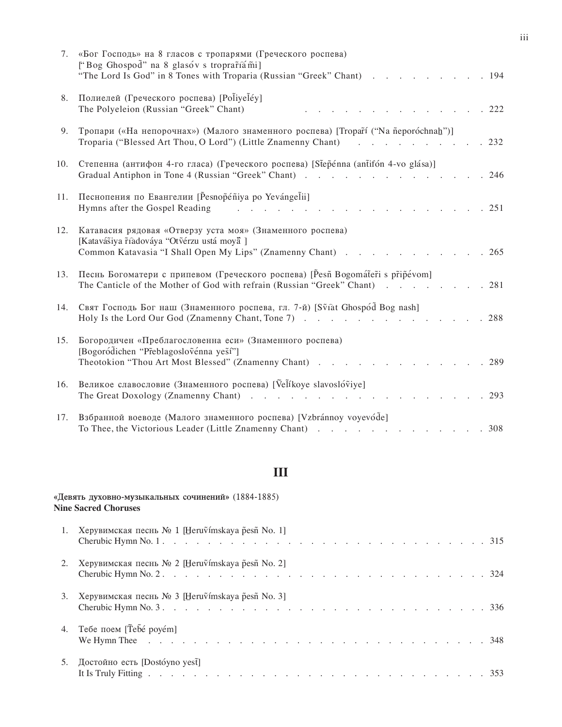| 7.  | «Бог Господь» на 8 гласов с тропарями (Греческого роспева)<br>["Bog Ghospod" na 8 glasóv s troprartiami]<br>"The Lord Is God" in 8 Tones with Troparia (Russian "Greek" Chant) 194                                                                                                                                                                                                             |
|-----|------------------------------------------------------------------------------------------------------------------------------------------------------------------------------------------------------------------------------------------------------------------------------------------------------------------------------------------------------------------------------------------------|
| 8.  | Полиелей (Греческого роспева) [Ро livelе́у]<br>The Polyeleion (Russian "Greek" Chant)<br>.222                                                                                                                                                                                                                                                                                                  |
| 9.  | Тропари («На непорочнах») (Малого знаменного роспева) [Tropart ("Na neporochnah")]<br>Troparia ("Blessed Art Thou, O Lord") (Little Znamenny Chant)<br>.232<br>and the company of the company of the company of the company of the company of the company of the company of the                                                                                                                |
| 10. | Степенна (антифон 4-го гласа) (Греческого роспева) [Stepenna (antifon 4-vo glása)]<br>Gradual Antiphon in Tone 4 (Russian "Greek" Chant)<br>.246                                                                                                                                                                                                                                               |
| 11. | Песнопения по Евангелии [Pesnopeniya po Yevángelii]<br>Hymns after the Gospel Reading<br>$\frac{1}{2}$ . The state of the state of the state $\frac{1}{2}$ , $\frac{1}{2}$ , $\frac{1}{2}$ , $\frac{1}{2}$ , $\frac{1}{2}$ , $\frac{1}{2}$ , $\frac{1}{2}$ , $\frac{1}{2}$ , $\frac{1}{2}$ , $\frac{1}{2}$ , $\frac{1}{2}$ , $\frac{1}{2}$ , $\frac{1}{2}$ , $\frac{1}{2}$ , $\frac{1$<br>.251 |
| 12. | Катавасия рядовая «Отверзу уста моя» (Знаменного роспева)<br>[Katavášiya říàdováya "Otvérzu ustá moya ]<br>Common Katavasia "I Shall Open My Lips" (Znamenny Chant) 265                                                                                                                                                                                                                        |
| 13. | Песнь Богоматери с припевом (Греческого роспева) [Pesñ Bogomáteri s pripévom]<br>The Canticle of the Mother of God with refrain (Russian "Greek" Chant)<br>.281                                                                                                                                                                                                                                |
| 14. | Свят Господь Бог наш (Знаменного роспева, гл. 7-й) [Sviat Ghospód Bog nash]<br>Holy Is the Lord Our God (Znamenny Chant, Tone 7)<br>.288                                                                                                                                                                                                                                                       |
| 15. | Богородичен «Преблагословенна еси» (Знаменного роспева)<br>[Bogoródichen "Pr̃eblagosloṽénna yes̃í"]<br>Theotokion "Thou Art Most Blessed" (Znamenny Chant)<br>. 289                                                                                                                                                                                                                            |
| 16. | Великое славословие (Знаменного роспева) [Velíkoye slavoslóviye]<br>.293                                                                                                                                                                                                                                                                                                                       |
| 17. | Взбранной воеводе (Малого знаменного роспева) [Vzbránnoy voyevóde]<br>To Thee, the Victorious Leader (Little Znamenny Chant)<br>.308                                                                                                                                                                                                                                                           |

# $\mathbf{III}$

|    | «Девять духовно-музыкальных сочинений» (1884-1885)<br><b>Nine Sacred Choruses</b>                                                                                        |
|----|--------------------------------------------------------------------------------------------------------------------------------------------------------------------------|
|    | Херувимская песнь № 1 [Heruṽímskaya p̃esñ No. 1]                                                                                                                         |
|    | Херувимская песнь № 2 [Heru $\tilde{v}$ ímskaya p̃esñ No. 2]                                                                                                             |
| 3. | Херувимская песнь № 3 [Heru $\tilde{v}$ ímskaya p̃esñ No. 3]                                                                                                             |
| 4. | Тебе поем [Tebé poyém]<br>We Hymn Thee $\ldots$ $\ldots$ $\ldots$ $\ldots$ $\ldots$ $\ldots$ $\ldots$ $\ldots$ $\ldots$ $\ldots$ $\ldots$ $\ldots$ $\ldots$ $\ldots$ 348 |
| 5. | Достойно есть [Dostóyno yest̃]                                                                                                                                           |